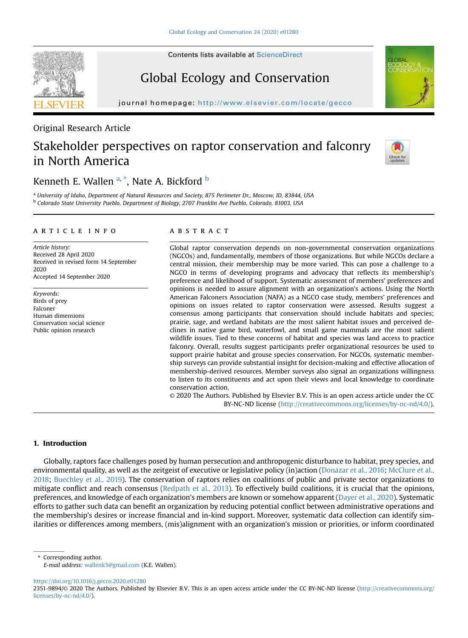# Global Ecology and Conservation

journal homepage: http://www.elsevier.com/locate/gecom/locate/gecom/locate/gecom/locate/gecom/locate/gecom/locate/gec

# Original Research Article

# Stakeholder perspectives on raptor conservation and falconry in North America

# Kenneth E. Wallen <sup>[a,](#page-0-0) \*</sup>, Nate A. Bickford <sup>[b](#page-0-1)</sup>

<span id="page-0-1"></span><span id="page-0-0"></span><sup>a</sup> University of Idaho, Department of Natural Resources and Society, 875 Perimeter Dr., Moscow, ID, 83844, USA <sup>b</sup> Colorado State University Pueblo, Department of Biology, 2707 Franklin Ave Pueblo, Colorado, 81003, USA

# article info

Article history: Received 28 April 2020 Received in revised form 14 September 2020 Accepted 14 September 2020

Keywords: Birds of prey Falconer Human dimensions Conservation social science Public opinion research

# **ABSTRACT**

Global raptor conservation depends on non-governmental conservation organizations (NGCOs) and, fundamentally, members of those organizations. But while NGCOs declare a central mission, their membership may be more varied. This can pose a challenge to a NGCO in terms of developing programs and advocacy that reflects its membership's preference and likelihood of support. Systematic assessment of members' preferences and opinions is needed to assure alignment with an organization's actions. Using the North American Falconers Association (NAFA) as a NGCO case study, members' preferences and opinions on issues related to raptor conservation were assessed. Results suggest a consensus among participants that conservation should include habitats and species; prairie, sage, and wetland habitats are the most salient habitat issues and perceived declines in native game bird, waterfowl, and small game mammals are the most salient wildlife issues. Tied to these concerns of habitat and species was land access to practice falconry. Overall, results suggest participants prefer organizational resources be used to support prairie habitat and grouse species conservation. For NGCOs, systematic membership surveys can provide substantial insight for decision-making and effective allocation of membership-derived resources. Member surveys also signal an organizations willingness to listen to its constituents and act upon their views and local knowledge to coordinate conservation action.

© 2020 The Authors. Published by Elsevier B.V. This is an open access article under the CC BY-NC-ND license ([http://creativecommons.org/licenses/by-nc-nd/4.0/\)](http://creativecommons.org/licenses/by-nc-nd/4.0/).

# 1. Introduction

Globally, raptors face challenges posed by human persecution and anthropogenic disturbance to habitat, prey species, and environmental quality, as well as the zeitgeist of executive or legislative policy (in)action (Donázar et al., 2016; [McClure et al.,](#page-7-0) [2018;](#page-7-0) [Buechley et al., 2019\)](#page-6-1). The conservation of raptors relies on coalitions of public and private sector organizations to mitigate conflict and reach consensus ([Redpath et al., 2013](#page-7-1)). To effectively build coalitions, it is crucial that the opinions, preferences, and knowledge of each organization's members are known or somehow apparent ([Dayer et al., 2020\)](#page-6-2). Systematic efforts to gather such data can benefit an organization by reducing potential conflict between administrative operations and the membership's desires or increase financial and in-kind support. Moreover, systematic data collection can identify similarities or differences among members, (mis)alignment with an organization's mission or priorities, or inform coordinated

\* Corresponding author.

<https://doi.org/10.1016/j.gecco.2020.e01280>





E-mail address: [wallenk3@gmail.com](mailto:wallenk3@gmail.com) (K.E. Wallen).

<sup>2351-9894/© 2020</sup> The Authors. Published by Elsevier B.V. This is an open access article under the CC BY-NC-ND license [\(http://creativecommons.org/](http://creativecommons.org/licenses/by-nc-nd/4.0/) [licenses/by-nc-nd/4.0/](http://creativecommons.org/licenses/by-nc-nd/4.0/)).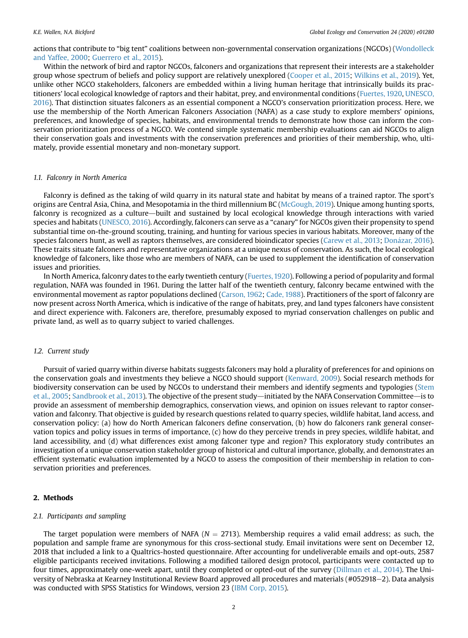actions that contribute to "big tent" coalitions between non-governmental conservation organizations (NGCOs) [\(Wondolleck](#page-7-2) [and Yaffee, 2000](#page-7-2); [Guerrero et al., 2015\)](#page-7-3).

Within the network of bird and raptor NGCOs, falconers and organizations that represent their interests are a stakeholder group whose spectrum of beliefs and policy support are relatively unexplored ([Cooper et al., 2015](#page-6-3); [Wilkins et al., 2019](#page-7-4)). Yet, unlike other NGCO stakeholders, falconers are embedded within a living human heritage that intrinsically builds its practitioners' local ecological knowledge of raptors and their habitat, prey, and environmental conditions ([Fuertes, 1920,](#page-7-5) [UNESCO,](#page-7-6) [2016](#page-7-6)). That distinction situates falconers as an essential component a NGCO's conservation prioritization process. Here, we use the membership of the North American Falconers Association (NAFA) as a case study to explore members' opinions, preferences, and knowledge of species, habitats, and environmental trends to demonstrate how those can inform the conservation prioritization process of a NGCO. We contend simple systematic membership evaluations can aid NGCOs to align their conservation goals and investments with the conservation preferences and priorities of their membership, who, ultimately, provide essential monetary and non-monetary support.

# 1.1. Falconry in North America

Falconry is defined as the taking of wild quarry in its natural state and habitat by means of a trained raptor. The sport's origins are Central Asia, China, and Mesopotamia in the third millennium BC ([McGough, 2019](#page-7-7)). Unique among hunting sports, falconry is recognized as a culture—built and sustained by local ecological knowledge through interactions with varied species and habitats ([UNESCO, 2016\)](#page-7-6). Accordingly, falconers can serve as a "canary" for NGCOs given their propensity to spend substantial time on-the-ground scouting, training, and hunting for various species in various habitats. Moreover, many of the species falconers hunt, as well as raptors themselves, are considered bioindicator species [\(Carew et al., 2013](#page-6-4); Donázar, 2016). These traits situate falconers and representative organizations at a unique nexus of conservation. As such, the local ecological knowledge of falconers, like those who are members of NAFA, can be used to supplement the identification of conservation issues and priorities.

In North America, falconry dates to the early twentieth century [\(Fuertes, 1920](#page-7-5)). Following a period of popularity and formal regulation, NAFA was founded in 1961. During the latter half of the twentieth century, falconry became entwined with the environmental movement as raptor populations declined ([Carson, 1962](#page-6-5); [Cade, 1988](#page-6-6)). Practitioners of the sport of falconry are now present across North America, which is indicative of the range of habitats, prey, and land types falconers have consistent and direct experience with. Falconers are, therefore, presumably exposed to myriad conservation challenges on public and private land, as well as to quarry subject to varied challenges.

# 1.2. Current study

Pursuit of varied quarry within diverse habitats suggests falconers may hold a plurality of preferences for and opinions on the conservation goals and investments they believe a NGCO should support [\(Kenward, 2009](#page-7-8)). Social research methods for biodiversity conservation can be used by NGCOs to understand their members and identify segments and typologies [\(Stem](#page-7-9) [et al., 2005;](#page-7-9) [Sandbrook et al., 2013](#page-7-10)). The objective of the present study—initiated by the NAFA Conservation Committee—is to provide an assessment of membership demographics, conservation views, and opinion on issues relevant to raptor conservation and falconry. That objective is guided by research questions related to quarry species, wildlife habitat, land access, and conservation policy: (a) how do North American falconers define conservation, (b) how do falconers rank general conservation topics and policy issues in terms of importance, (c) how do they perceive trends in prey species, wildlife habitat, and land accessibility, and (d) what differences exist among falconer type and region? This exploratory study contributes an investigation of a unique conservation stakeholder group of historical and cultural importance, globally, and demonstrates an efficient systematic evaluation implemented by a NGCO to assess the composition of their membership in relation to conservation priorities and preferences.

# 2. Methods

# 2.1. Participants and sampling

The target population were members of NAFA ( $N = 2713$ ). Membership requires a valid email address; as such, the population and sample frame are synonymous for this cross-sectional study. Email invitations were sent on December 12, 2018 that included a link to a Qualtrics-hosted questionnaire. After accounting for undeliverable emails and opt-outs, 2587 eligible participants received invitations. Following a modified tailored design protocol, participants were contacted up to four times, approximately one-week apart, until they completed or opted-out of the survey [\(Dillman et al., 2014\)](#page-6-7). The University of Nebraska at Kearney Institutional Review Board approved all procedures and materials (#052918-2). Data analysis was conducted with SPSS Statistics for Windows, version 23 ([IBM Corp, 2015\)](#page-6-8).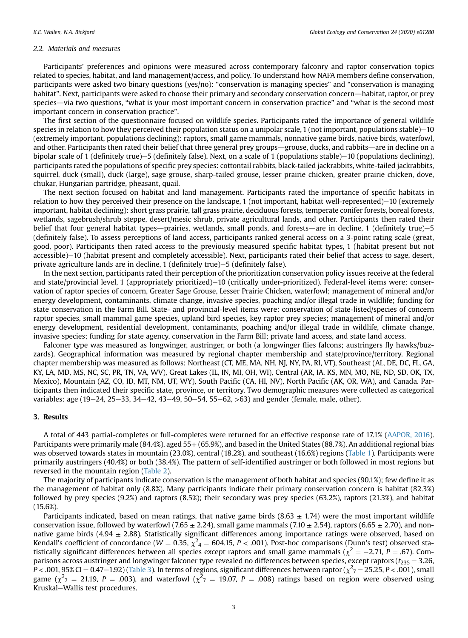## 2.2. Materials and measures

Participants' preferences and opinions were measured across contemporary falconry and raptor conservation topics related to species, habitat, and land management/access, and policy. To understand how NAFA members define conservation, participants were asked two binary questions (yes/no): "conservation is managing species" and "conservation is managing habitat". Next, participants were asked to choose their primary and secondary conservation concern—habitat, raptor, or prey species—via two questions, "what is your most important concern in conservation practice" and "what is the second most important concern in conservation practice".

The first section of the questionnaire focused on wildlife species. Participants rated the importance of general wildlife species in relation to how they perceived their population status on a unipolar scale, 1 (not important, populations stable) $-10$ (extremely important, populations declining): raptors, small game mammals, nonnative game birds, native birds, waterfowl, and other. Participants then rated their belief that three general prey groups—grouse, ducks, and rabbits—are in decline on a bipolar scale of 1 (definitely true) $-5$  (definitely false). Next, on a scale of 1 (populations stable) $-10$  (populations declining), participants rated the populations of specific prey species: cottontail rabbits, black-tailed jackrabbits, white-tailed jackrabbits, squirrel, duck (small), duck (large), sage grouse, sharp-tailed grouse, lesser prairie chicken, greater prairie chicken, dove, chukar, Hungarian partridge, pheasant, quail.

The next section focused on habitat and land management. Participants rated the importance of specific habitats in relation to how they perceived their presence on the landscape,  $1$  (not important, habitat well-represented) $-10$  (extremely important, habitat declining): short grass prairie, tall grass prairie, deciduous forests, temperate conifer forests, boreal forests, wetlands, sagebrush/shrub steppe, desert/mesic shrub, private agricultural lands, and other. Participants then rated their belief that four general habitat types—prairies, wetlands, small ponds, and forests—are in decline, 1 (definitely true)-5 (definitely false). To assess perceptions of land access, participants ranked general access on a 3-point rating scale (great, good, poor). Participants then rated access to the previously measured specific habitat types, 1 (habitat present but not accessible)-10 (habitat present and completely accessible). Next, participants rated their belief that access to sage, desert, private agriculture lands are in decline,  $1$  (definitely true) $-5$  (definitely false).

In the next section, participants rated their perception of the prioritization conservation policy issues receive at the federal and state/provincial level, 1 (appropriately prioritized)–10 (critically under-prioritized). Federal-level items were: conservation of raptor species of concern, Greater Sage Grouse, Lesser Prairie Chicken, waterfowl; management of mineral and/or energy development, contaminants, climate change, invasive species, poaching and/or illegal trade in wildlife; funding for state conservation in the Farm Bill. State- and provincial-level items were: conservation of state-listed/species of concern raptor species, small mammal game species, upland bird species, key raptor prey species; management of mineral and/or energy development, residential development, contaminants, poaching and/or illegal trade in wildlife, climate change, invasive species; funding for state agency, conservation in the Farm Bill; private land access, and state land access.

Falconer type was measured as longwinger, austringer, or both (a longwinger flies falcons; austringers fly hawks/buzzards). Geographical information was measured by regional chapter membership and state/province/territory. Regional chapter membership was measured as follows: Northeast (CT, ME, MA, NH, NJ, NY, PA, RI, VT), Southeast (AL, DE, DC, FL, GA, KY, LA, MD, MS, NC, SC, PR, TN, VA, WV), Great Lakes (IL, IN, MI, OH, WI), Central (AR, IA, KS, MN, MO, NE, ND, SD, OK, TX, Mexico), Mountain (AZ, CO, ID, MT, NM, UT, WY), South Pacific (CA, HI, NV), North Pacific (AK, OR, WA), and Canada. Participants then indicated their specific state, province, or territory. Two demographic measures were collected as categorical variables: age (19–24, 25–33, 34–42, 43–49, 50–54, 55–62,  $>63$ ) and gender (female, male, other).

# 3. Results

A total of 443 partial-completes or full-completes were returned for an effective response rate of 17.1% ([AAPOR, 2016](#page-6-9)). Participants were primarily male  $(84.4\%)$ , aged  $55+(65.9\%)$ , and based in the United States  $(88.7\%)$ . An additional regional bias was observed towards states in mountain (23.0%), central (18.2%), and southeast (16.6%) regions [\(Table 1](#page-3-0)). Participants were primarily austringers (40.4%) or both (38.4%). The pattern of self-identified austringer or both followed in most regions but reversed in the mountain region ([Table 2\)](#page-3-1).

The majority of participants indicate conservation is the management of both habitat and species (90.1%); few define it as the management of habitat only (8.8%). Many participants indicate their primary conservation concern is habitat (82.3%) followed by prey species (9.2%) and raptors (8.5%); their secondary was prey species (63.2%), raptors (21.3%), and habitat (15.6%).

Participants indicated, based on mean ratings, that native game birds  $(8.63 \pm 1.74)$  were the most important wildlife conservation issue, followed by waterfowl (7.65  $\pm$  2.24), small game mammals (7.10  $\pm$  2.54), raptors (6.65  $\pm$  2.70), and nonnative game birds (4.94  $\pm$  2.88). Statistically significant differences among importance ratings were observed, based on Kendall's coefficient of concordance ( $W = 0.35$ ,  $\chi^2_4 = 604.15$ ,  $P < .001$ ). Post-hoc comparisons (Dunn's test) observed statistically significant differences between all species except raptors and small game mammals ( $\chi^2 = -2.71$ , P = .67). Comparisons across austringer and longwinger falconer type revealed no differences between species, except raptors ( $t_{235} = 3.26$ ,  $P < .001,95\%$  CI = 0.47–1.92) ([Table 3](#page-3-2)). In terms of regions, significant differences between raptor ( $\chi^2$ <sub>7</sub> = 25.25, *P* < .001), small game ( $\chi^2$ <sub>7</sub> = 21.19, *P* = .003), and waterfowl ( $\chi^2$ <sub>7</sub> = 19.07, *P* = .00 Kruskal-Wallis test procedures.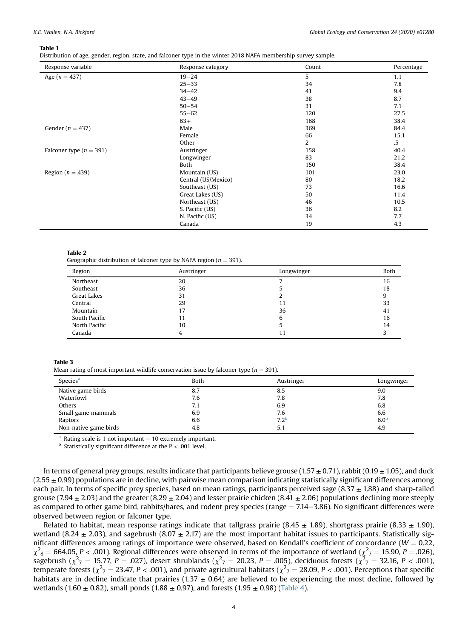#### <span id="page-3-0"></span>Table 1

Distribution of age, gender, region, state, and falconer type in the winter 2018 NAFA membership survey sample.

| Response variable         | Response category   | Count | Percentage |
|---------------------------|---------------------|-------|------------|
| Age ( $n = 437$ )         | $19 - 24$           | 5     | 1.1        |
|                           | $25 - 33$           | 34    | 7.8        |
|                           | $34 - 42$           | 41    | 9.4        |
|                           | $43 - 49$           | 38    | 8.7        |
|                           | $50 - 54$           | 31    | 7.1        |
|                           | $55 - 62$           | 120   | 27.5       |
|                           | $63+$               | 168   | 38.4       |
| Gender ( $n = 437$ )      | Male                | 369   | 84.4       |
|                           | Female              | 66    | 15.1       |
|                           | Other               | 2     | $.5\,$     |
| Falconer type $(n = 391)$ | Austringer          | 158   | 40.4       |
|                           | Longwinger          | 83    | 21.2       |
|                           | Both                | 150   | 38.4       |
| Region ( $n = 439$ )      | Mountain (US)       | 101   | 23.0       |
|                           | Central (US/Mexico) | 80    | 18.2       |
|                           | Southeast (US)      | 73    | 16.6       |
|                           | Great Lakes (US)    | 50    | 11.4       |
|                           | Northeast (US)      | 46    | 10.5       |
|                           | S. Pacific (US)     | 36    | 8.2        |
|                           | N. Pacific (US)     | 34    | 7.7        |
|                           | Canada              | 19    | 4.3        |

#### <span id="page-3-1"></span>Table 2

Geographic distribution of falconer type by NAFA region ( $n = 391$ ).

| Region        | Austringer | Longwinger | Both |
|---------------|------------|------------|------|
| Northeast     | 20         |            | 16   |
| Southeast     | 36         |            | 18   |
| Great Lakes   | 31         |            |      |
| Central       | 29         | 11         | 33   |
| Mountain      | 17         | 36         | 41   |
| South Pacific | 11         | 6          | 16   |
| North Pacific | 10         |            | 14   |
| Canada        |            |            |      |

### <span id="page-3-2"></span>Table 3

Mean rating of most important wildlife conservation issue by falconer type ( $n = 391$ ).

| Species <sup>a</sup>  | Both | Austringer | Longwinger       |
|-----------------------|------|------------|------------------|
| Native game birds     | 8.7  | 8.5        | 9.0              |
| Waterfowl             | 7.6  | 7.8        | 7.8              |
| Others                | 7.1  | 6.9        | 6.8              |
| Small game mammals    | 6.9  | 7.6        | 6.6              |
| Raptors               | 6.6  | $7.2^b$    | 6.0 <sup>b</sup> |
| Non-native game birds | 4.8  | 5.1        | 4.9              |

<sup>a</sup> Rating scale is 1 not important  $-10$  extremely important.

 $<sup>b</sup>$  Statistically significant difference at the P < .001 level.</sup>

In terms of general prey groups, results indicate that participants believe grouse (1.57  $\pm$  0.71), rabbit (0.19  $\pm$  1.05), and duck  $(2.55 \pm 0.99)$  populations are in decline, with pairwise mean comparison indicating statistically significant differences among each pair. In terms of specific prey species, based on mean ratings, participants perceived sage  $(8.37 \pm 1.88)$  and sharp-tailed grouse (7.94  $\pm$  2.03) and the greater (8.29  $\pm$  2.04) and lesser prairie chicken (8.41  $\pm$  2.06) populations declining more steeply as compared to other game bird, rabbits/hares, and rodent prey species (range  $= 7.14-3.86$ ). No significant differences were observed between region or falconer type.

Related to habitat, mean response ratings indicate that tallgrass prairie (8.45  $\pm$  1.89), shortgrass prairie (8.33  $\pm$  1.90), wetland (8.24  $\pm$  2.03), and sagebrush (8.07  $\pm$  2.17) are the most important habitat issues to participants. Statistically significant differences among ratings of importance were observed, based on Kendall's coefficient of concordance ( $W = 0.22$ ,  $\chi^2$ <sub>8</sub> = 664.05, *P* < .001). Regional differences were observed in terms of the importance of wetland ( $\chi^2$ <sub>7</sub> = 15.90, *P* = .026), sagebrush ( $\chi^2$ 7 = 15.77, P = .027), desert shrublands ( $\chi^2$ 7 = 20.23, P = .005), deciduous forests ( $\chi^2$ 7 = 32.16, P < .001), temperate forests ( $\chi^2$ 7 = 23.47, P < .001), and private agricultural habitats ( $\chi^2$ habitats are in decline indicate that prairies (1.37  $\pm$  0.64) are believed to be experiencing the most decline, followed by wetlands (1.60  $\pm$  0.82), small ponds (1.88  $\pm$  0.97), and forests (1.95  $\pm$  0.98) [\(Table 4](#page-4-0)).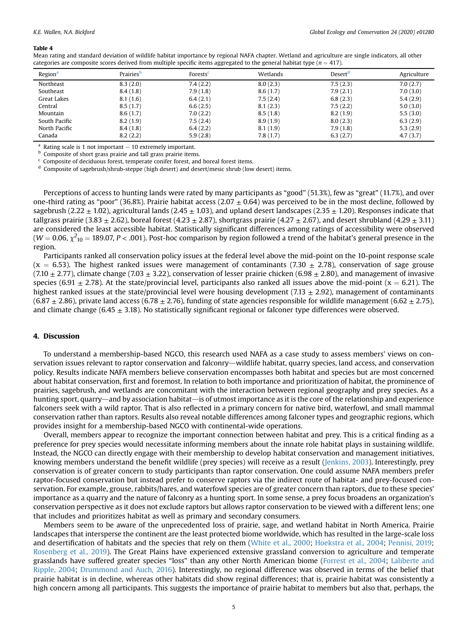#### <span id="page-4-0"></span>Table 4

| Region <sup>a</sup> | <b>Prairies</b> <sup>b</sup> | Forests <sup>c</sup> | Wetlands | Desert <sup>a</sup> | Agriculture |
|---------------------|------------------------------|----------------------|----------|---------------------|-------------|
| Northeast           | 8.3(2.0)                     | 7.4(2.2)             | 8.0(2.3) | 7.5(2.3)            | 7.0(2.7)    |
| Southeast           | 8.4(1.8)                     | 7.9(1.8)             | 8.6(1.7) | 7.9(2.1)            | 7.0(3.0)    |
| Great Lakes         | 8.1(1.6)                     | 6.4(2.1)             | 7.5(2.4) | 6.8(2.3)            | 5.4(2.9)    |
| Central             | 8.5(1.7)                     | 6.6(2.5)             | 8.1(2.3) | 7.5(2.2)            | 5.0(3.0)    |
| Mountain            | 8.6(1.7)                     | 7.0(2.2)             | 8.5(1.8) | 8.2(1.9)            | 5.5(3.0)    |
| South Pacific       | 8.2(1.9)                     | 7.5(2.4)             | 8.9(1.9) | 8.0(2.3)            | 6.3(2.9)    |
| North Pacific       | 8.4(1.8)                     | 6.4(2.2)             | 8.1(1.9) | 7.9(1.8)            | 5.3(2.9)    |
| Canada              | 8.2(2.2)                     | 5.9(2.8)             | 7.8(1.7) | 6.3(2.7)            | 4.7(3.7)    |

Mean rating and standard deviation of wildlife habitat importance by regional NAFA chapter. Wetland and agriculture are single indicators, all other categories are composite scores derived from multiple specific items aggregated to the general habitat type  $(n - 417)$ .

<sup>a</sup> Rating scale is 1 not important  $-10$  extremely important.

**b** Composite of short grass prairie and tall grass prairie items.

<sup>c</sup> Composite of deciduous forest, temperate conifer forest, and boreal forest items.

<sup>d</sup> Composite of sagebrush/shrub-steppe (high desert) and desert/mesic shrub (low desert) items.

Perceptions of access to hunting lands were rated by many participants as "good" (51.3%), few as "great" (11.7%), and over one-third rating as "poor" (36.8%). Prairie habitat access (2.07  $\pm$  0.64) was perceived to be in the most decline, followed by sagebrush (2.22  $\pm$  1.02), agricultural lands (2.45  $\pm$  1.03), and upland desert landscapes (2.35  $\pm$  1.20). Responses indicate that tallgrass prairie (3.83  $\pm$  2.62), boreal forest (4.23  $\pm$  2.87), shortgrass prairie (4.27  $\pm$  2.67), and desert shrubland (4.29  $\pm$  3.11) are considered the least accessible habitat. Statistically significant differences among ratings of accessibility were observed (W = 0.06,  $\chi^2_{10}$  = 189.07, P < .001). Post-hoc comparison by region followed a trend of the habitat's general presence in the region.

Participants ranked all conservation policy issues at the federal level above the mid-point on the 10-point response scale  $(x = 6.53)$ . The highest ranked issues were management of contaminants (7.30  $\pm$  2.78), conservation of sage grouse  $(7.10 \pm 2.77)$ , climate change (7.03  $\pm$  3.22), conservation of lesser prairie chicken (6.98  $\pm$  2.80), and management of invasive species (6.91  $\pm$  2.78). At the state/provincial level, participants also ranked all issues above the mid-point (x = 6.21). The highest ranked issues at the state/provincial level were housing development (7.13  $\pm$  2.92), management of contaminants  $(6.87 \pm 2.86)$ , private land access  $(6.78 \pm 2.76)$ , funding of state agencies responsible for wildlife management  $(6.62 \pm 2.75)$ , and climate change (6.45  $\pm$  3.18). No statistically significant regional or falconer type differences were observed.

# 4. Discussion

To understand a membership-based NGCO, this research used NAFA as a case study to assess members' views on conservation issues relevant to raptor conservation and falconry—wildlife habitat, quarry species, land access, and conservation policy. Results indicate NAFA members believe conservation encompasses both habitat and species but are most concerned about habitat conservation, first and foremost. In relation to both importance and prioritization of habitat, the prominence of prairies, sagebrush, and wetlands are concomitant with the interaction between regional geography and prey species. As a hunting sport, quarry—and by association habitat—is of utmost importance as it is the core of the relationship and experience falconers seek with a wild raptor. That is also reflected in a primary concern for native bird, waterfowl, and small mammal conservation rather than raptors. Results also reveal notable differences among falconer types and geographic regions, which provides insight for a membership-based NGCO with continental-wide operations.

Overall, members appear to recognize the important connection between habitat and prey. This is a critical finding as a preference for prey species would necessitate informing members about the innate role habitat plays in sustaining wildlife. Instead, the NGCO can directly engage with their membership to develop habitat conservation and management initiatives, knowing members understand the benefit wildlife (prey species) will receive as a result [\(Jenkins, 2003](#page-7-11)). Interestingly, prey conservation is of greater concern to study participants than raptor conservation. One could assume NAFA members prefer raptor-focused conservation but instead prefer to conserve raptors via the indirect route of habitat- and prey-focused conservation. For example, grouse, rabbits/hares, and waterfowl species are of greater concern than raptors, due to these species' importance as a quarry and the nature of falconry as a hunting sport. In some sense, a prey focus broadens an organization's conservation perspective as it does not exclude raptors but allows raptor conservation to be viewed with a different lens; one that includes and prioritizes habitat as well as primary and secondary consumers.

Members seem to be aware of the unprecedented loss of prairie, sage, and wetland habitat in North America. Prairie landscapes that intersperse the continent are the least protected biome worldwide, which has resulted in the large-scale loss and desertification of habitats and the species that rely on them ([White et al., 2000;](#page-7-12) [Hoekstra et al., 2004](#page-7-13); [Pennisi, 2019](#page-7-14); [Rosenberg et al., 2019](#page-7-15)). The Great Plains have experienced extensive grassland conversion to agriculture and temperate grasslands have suffered greater species "loss" than any other North American biome [\(Forrest et al., 2004;](#page-7-16) [Laliberte and](#page-7-17) [Ripple, 2004](#page-7-17); [Drummond and Auch, 2016](#page-7-18)). Interestingly, no regional difference was observed in terms of the belief that prairie habitat is in decline, whereas other habitats did show reginal differences; that is, prairie habitat was consistently a high concern among all participants. This suggests the importance of prairie habitat to members but also that, perhaps, the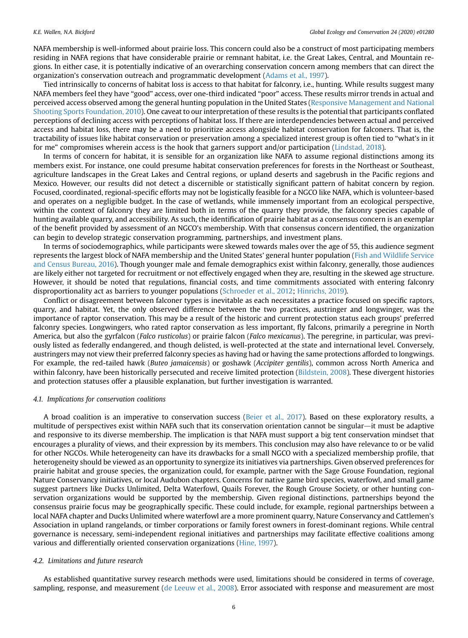NAFA membership is well-informed about prairie loss. This concern could also be a construct of most participating members residing in NAFA regions that have considerable prairie or remnant habitat, i.e. the Great Lakes, Central, and Mountain regions. In either case, it is potentially indicative of an overarching conservation concern among members that can direct the organization's conservation outreach and programmatic development [\(Adams et al., 1997\)](#page-6-10).

Tied intrinsically to concerns of habitat loss is access to that habitat for falconry, i.e., hunting. While results suggest many NAFA members feel they have "good" access, over one-third indicated "poor" access. These results mirror trends in actual and perceived access observed among the general hunting population in the United States ([Responsive Management and National](#page-7-19) [Shooting Sports Foundation, 2010](#page-7-19)). One caveat to our interpretation of these results is the potential that participants conflated perceptions of declining access with perceptions of habitat loss. If there are interdependencies between actual and perceived access and habitat loss, there may be a need to prioritize access alongside habitat conservation for falconers. That is, the tractability of issues like habitat conservation or preservation among a specialized interest group is often tied to "what's in it for me" compromises wherein access is the hook that garners support and/or participation ([Lindstad, 2018](#page-7-20)).

In terms of concern for habitat, it is sensible for an organization like NAFA to assume regional distinctions among its members exist. For instance, one could presume habitat conservation preferences for forests in the Northeast or Southeast, agriculture landscapes in the Great Lakes and Central regions, or upland deserts and sagebrush in the Pacific regions and Mexico. However, our results did not detect a discernible or statistically significant pattern of habitat concern by region. Focused, coordinated, regional-specific efforts may not be logistically feasible for a NGCO like NAFA, which is volunteer-based and operates on a negligible budget. In the case of wetlands, while immensely important from an ecological perspective, within the context of falconry they are limited both in terms of the quarry they provide, the falconry species capable of hunting available quarry, and accessibility. As such, the identification of prairie habitat as a consensus concern is an exemplar of the benefit provided by assessment of an NGCO's membership. With that consensus concern identified, the organization can begin to develop strategic conservation programming, partnerships, and investment plans.

In terms of sociodemographics, while participants were skewed towards males over the age of 55, this audience segment represents the largest block of NAFA membership and the United States' general hunter population ([Fish and Wildlife Service](#page-7-21) [and Census Bureau, 2016\)](#page-7-21). Though younger male and female demographics exist within falconry, generally, those audiences are likely either not targeted for recruitment or not effectively engaged when they are, resulting in the skewed age structure. However, it should be noted that regulations, financial costs, and time commitments associated with entering falconry disproportionality act as barriers to younger populations [\(Schroeder et al., 2012;](#page-7-22) [Hinrichs, 2019](#page-7-23)).

Conflict or disagreement between falconer types is inevitable as each necessitates a practice focused on specific raptors, quarry, and habitat. Yet, the only observed difference between the two practices, austringer and longwinger, was the importance of raptor conservation. This may be a result of the historic and current protection status each groups' preferred falconry species. Longwingers, who rated raptor conservation as less important, fly falcons, primarily a peregrine in North America, but also the gyrfalcon (Falco rusticolus) or prairie falcon (Falco mexicanus). The peregrine, in particular, was previously listed as federally endangered, and though delisted, is well-protected at the state and international level. Conversely, austringers may not view their preferred falconry species as having had or having the same protections afforded to longwings. For example, the red-tailed hawk (Buteo jamaicensis) or goshawk (Accipiter gentilis), common across North America and within falconry, have been historically persecuted and receive limited protection [\(Bildstein, 2008](#page-6-11)). These divergent histories and protection statuses offer a plausible explanation, but further investigation is warranted.

### 4.1. Implications for conservation coalitions

A broad coalition is an imperative to conservation success [\(Beier et al., 2017\)](#page-6-12). Based on these exploratory results, a multitude of perspectives exist within NAFA such that its conservation orientation cannot be singular—it must be adaptive and responsive to its diverse membership. The implication is that NAFA must support a big tent conservation mindset that encourages a plurality of views, and their expression by its members. This conclusion may also have relevance to or be valid for other NGCOs. While heterogeneity can have its drawbacks for a small NGCO with a specialized membership profile, that heterogeneity should be viewed as an opportunity to synergize its initiatives via partnerships. Given observed preferences for prairie habitat and grouse species, the organization could, for example, partner with the Sage Grouse Foundation, regional Nature Conservancy initiatives, or local Audubon chapters. Concerns for native game bird species, waterfowl, and small game suggest partners like Ducks Unlimited, Delta Waterfowl, Quails Forever, the Rough Grouse Society, or other hunting conservation organizations would be supported by the membership. Given regional distinctions, partnerships beyond the consensus prairie focus may be geographically specific. These could include, for example, regional partnerships between a local NAFA chapter and Ducks Unlimited where waterfowl are a more prominent quarry, Nature Conservancy and Cattlemen's Association in upland rangelands, or timber corporations or family forest owners in forest-dominant regions. While central governance is necessary, semi-independent regional initiatives and partnerships may facilitate effective coalitions among various and differentially oriented conservation organizations [\(Hine, 1997](#page-7-24)).

# 4.2. Limitations and future research

As established quantitative survey research methods were used, limitations should be considered in terms of coverage, sampling, response, and measurement [\(de Leeuw et al., 2008\)](#page-6-13). Error associated with response and measurement are most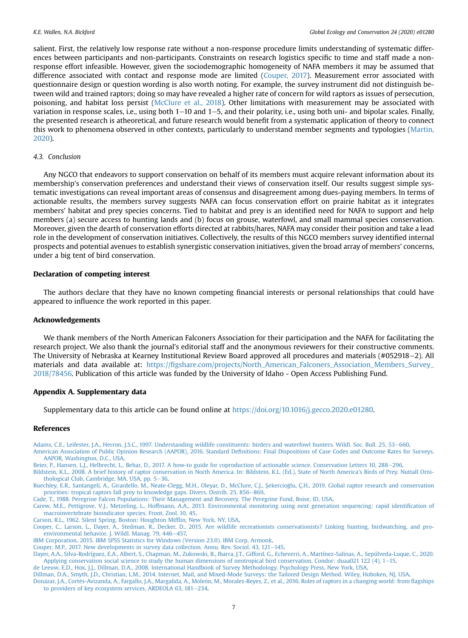salient. First, the relatively low response rate without a non-response procedure limits understanding of systematic differences between participants and non-participants. Constraints on research logistics specific to time and staff made a nonresponse effort infeasible. However, given the sociodemographic homogeneity of NAFA members it may be assumed that difference associated with contact and response mode are limited ([Couper, 2017](#page-6-14)). Measurement error associated with questionnaire design or question wording is also worth noting. For example, the survey instrument did not distinguish between wild and trained raptors; doing so may have revealed a higher rate of concern for wild raptors as issues of persecution, poisoning, and habitat loss persist [\(McClure et al., 2018\)](#page-7-0). Other limitations with measurement may be associated with variation in response scales, i.e., using both  $1-10$  and  $1-5$ , and their polarity, i.e., using both uni- and bipolar scales. Finally, the presented research is atheoretical, and future research would benefit from a systematic application of theory to connect this work to phenomena observed in other contexts, particularly to understand member segments and typologies ([Martin,](#page-7-25) [2020\)](#page-7-25).

# 4.3. Conclusion

Any NGCO that endeavors to support conservation on behalf of its members must acquire relevant information about its membership's conservation preferences and understand their views of conservation itself. Our results suggest simple systematic investigations can reveal important areas of consensus and disagreement among dues-paying members. In terms of actionable results, the members survey suggests NAFA can focus conservation effort on prairie habitat as it integrates members' habitat and prey species concerns. Tied to habitat and prey is an identified need for NAFA to support and help members (a) secure access to hunting lands and (b) focus on grouse, waterfowl, and small mammal species conservation. Moreover, given the dearth of conservation efforts directed at rabbits/hares, NAFA may consider their position and take a lead role in the development of conservation initiatives. Collectively, the results of this NGCO members survey identified internal prospects and potential avenues to establish synergistic conservation initiatives, given the broad array of members' concerns, under a big tent of bird conservation.

### Declaration of competing interest

The authors declare that they have no known competing financial interests or personal relationships that could have appeared to influence the work reported in this paper.

# Acknowledgements

We thank members of the North American Falconers Association for their participation and the NAFA for facilitating the research project. We also thank the journal's editorial staff and the anonymous reviewers for their constructive comments. The University of Nebraska at Kearney Institutional Review Board approved all procedures and materials (#052918-2). All materials and data available at: https://fi[gshare.com/projects/North\\_American\\_Falconers\\_Association\\_Members\\_Survey\\_](https://figshare.com/projects/North_American_Falconers_Association_Members_Survey_2018/78456) [2018/78456.](https://figshare.com/projects/North_American_Falconers_Association_Members_Survey_2018/78456) Publication of this article was funded by the University of Idaho - Open Access Publishing Fund.

# Appendix A. Supplementary data

Supplementary data to this article can be found online at <https://doi.org/10.1016/j.gecco.2020.e01280>.

### References

<span id="page-6-10"></span><span id="page-6-9"></span>[Adams, C.E., Leifester, J.A., Herron, J.S.C., 1997. Understanding wildlife constituents: birders and waterfowl hunters. Wildl. Soc. Bull. 25, 53](http://refhub.elsevier.com/S2351-9894(20)30821-0/sref1)-[660.](http://refhub.elsevier.com/S2351-9894(20)30821-0/sref1) [American Association of Public Opinion Research \(AAPOR\), 2016. Standard De](http://refhub.elsevier.com/S2351-9894(20)30821-0/sref2)finitions: Final Dispositions of Case Codes and Outcome Rates for Surveys. [AAPOR, Washington, D.C., USA.](http://refhub.elsevier.com/S2351-9894(20)30821-0/sref2)

<span id="page-6-12"></span>[Beier, P., Hansen, L.J., Helbrecht, L., Behar, D., 2017. A how-to guide for coproduction of actionable science. Conservation Letters 10, 288](http://refhub.elsevier.com/S2351-9894(20)30821-0/sref3)-[296.](http://refhub.elsevier.com/S2351-9894(20)30821-0/sref3)

<span id="page-6-11"></span>[Bildstein, K.L., 2008. A brief history of raptor conservation in North America. In: Bildstein, K.L. \(Ed.\), State of North America](http://refhub.elsevier.com/S2351-9894(20)30821-0/sref4)'s Birds of Prey. Nuttall Orni[thological Club, Cambridge, MA, USA, pp. 5](http://refhub.elsevier.com/S2351-9894(20)30821-0/sref4)-[36](http://refhub.elsevier.com/S2351-9894(20)30821-0/sref4).

<span id="page-6-1"></span>Buechley, E.R., Santangeli, A., Girardello, M., Neate-Clegg, M.H., Oleyar, D., McClure, C.J., Şekercioğ[lu, Ç.H., 2019. Global raptor research and conservation](http://refhub.elsevier.com/S2351-9894(20)30821-0/sref5) [priorities: tropical raptors fall prey to knowledge gaps. Divers. Distrib. 25, 856](http://refhub.elsevier.com/S2351-9894(20)30821-0/sref5)-[869.](http://refhub.elsevier.com/S2351-9894(20)30821-0/sref5)

<span id="page-6-6"></span>[Cade, T., 1988. Peregrine Falcon Populations: Their Management and Recovery. The Peregrine Fund, Boise, ID, USA.](http://refhub.elsevier.com/S2351-9894(20)30821-0/sref6)

<span id="page-6-4"></span>[Carew, M.E., Pettigrove, V.J., Metzeling, L., Hoffmann, A.A., 2013. Environmental monitoring using next generation sequencing: rapid identi](http://refhub.elsevier.com/S2351-9894(20)30821-0/sref7)fication of [macroinvertebrate bioindicator species. Front. Zool. 10, 45.](http://refhub.elsevier.com/S2351-9894(20)30821-0/sref7)

<span id="page-6-5"></span><span id="page-6-3"></span>[Carson, R.L., 1962. Silent Spring. Boston: Houghton Mif](http://refhub.elsevier.com/S2351-9894(20)30821-0/sref8)flin, New York, NY, USA.

[Cooper, C., Larson, L., Dayer, A., Stedman, R., Decker, D., 2015. Are wildlife recreationists conservationists? Linking hunting, birdwatching, and pro](http://refhub.elsevier.com/S2351-9894(20)30821-0/sref9)[environmental behavior. J. Wildl. Manag. 79, 446](http://refhub.elsevier.com/S2351-9894(20)30821-0/sref9)-[457.](http://refhub.elsevier.com/S2351-9894(20)30821-0/sref9)

<span id="page-6-8"></span>[IBM Corporation, 2015. IBM SPSS Statistics for Windows \(Version 23.0\). IBM Corp, Armonk](http://refhub.elsevier.com/S2351-9894(20)30821-0/sref10).

- <span id="page-6-14"></span>[Couper, M.P., 2017. New developments in survey data collection. Annu. Rev. Sociol. 43, 121](http://refhub.elsevier.com/S2351-9894(20)30821-0/sref11)-[145](http://refhub.elsevier.com/S2351-9894(20)30821-0/sref11).
- <span id="page-6-2"></span>[Dayer, A.A., Silva-Rodríguez, E.A., Albert, S., Chapman, M., Zukowski, B., Ibarra, J.T., Gifford, G., Echeverri, A., Martínez-Salinas, A., Sepúlveda-Luque, C., 2020.](http://refhub.elsevier.com/S2351-9894(20)30821-0/sref12) [Applying conservation social science to study the human dimensions of neotropical bird conservation. Condor: duaa021 122 \(4\), 1](http://refhub.elsevier.com/S2351-9894(20)30821-0/sref12)-[15](http://refhub.elsevier.com/S2351-9894(20)30821-0/sref12). [de Leeuw, E.D., Hox, J.J., Dillman, D.A., 2008. International Handbook of Survey Methodology. Psychology Press, New York, USA.](http://refhub.elsevier.com/S2351-9894(20)30821-0/sref13)

<span id="page-6-13"></span><span id="page-6-7"></span>[Dillman, D.A., Smyth, J.D., Christian, L.M., 2014. Internet, Mail, and Mixed-Mode Surveys: the Tailored Design Method. Wiley, Hoboken, NJ, USA](http://refhub.elsevier.com/S2351-9894(20)30821-0/sref14).

<span id="page-6-0"></span>[Don](http://refhub.elsevier.com/S2351-9894(20)30821-0/sref15)á[zar, J.A., Cort](http://refhub.elsevier.com/S2351-9894(20)30821-0/sref15)é[s-Avizanda, A., Fargallo, J.A., Margalida, A., Mole](http://refhub.elsevier.com/S2351-9894(20)30821-0/sref15)ó[n, M., Morales-Reyes, Z., et al., 2016. Roles of raptors in a changing world: from](http://refhub.elsevier.com/S2351-9894(20)30821-0/sref15) flagships [to providers of key ecosystem services. ARDEOLA 63, 181](http://refhub.elsevier.com/S2351-9894(20)30821-0/sref15)-[234](http://refhub.elsevier.com/S2351-9894(20)30821-0/sref15).